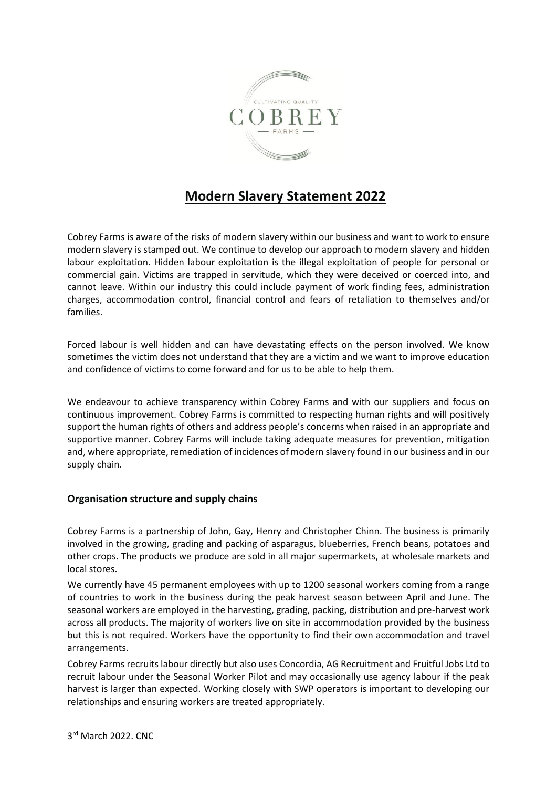

# **Modern Slavery Statement 2022**

Cobrey Farms is aware of the risks of modern slavery within our business and want to work to ensure modern slavery is stamped out. We continue to develop our approach to modern slavery and hidden labour exploitation. Hidden labour exploitation is the illegal exploitation of people for personal or commercial gain. Victims are trapped in servitude, which they were deceived or coerced into, and cannot leave. Within our industry this could include payment of work finding fees, administration charges, accommodation control, financial control and fears of retaliation to themselves and/or families.

Forced labour is well hidden and can have devastating effects on the person involved. We know sometimes the victim does not understand that they are a victim and we want to improve education and confidence of victims to come forward and for us to be able to help them.

We endeavour to achieve transparency within Cobrey Farms and with our suppliers and focus on continuous improvement. Cobrey Farms is committed to respecting human rights and will positively support the human rights of others and address people's concerns when raised in an appropriate and supportive manner. Cobrey Farms will include taking adequate measures for prevention, mitigation and, where appropriate, remediation of incidences of modern slavery found in our business and in our supply chain.

## **Organisation structure and supply chains**

Cobrey Farms is a partnership of John, Gay, Henry and Christopher Chinn. The business is primarily involved in the growing, grading and packing of asparagus, blueberries, French beans, potatoes and other crops. The products we produce are sold in all major supermarkets, at wholesale markets and local stores.

We currently have 45 permanent employees with up to 1200 seasonal workers coming from a range of countries to work in the business during the peak harvest season between April and June. The seasonal workers are employed in the harvesting, grading, packing, distribution and pre-harvest work across all products. The majority of workers live on site in accommodation provided by the business but this is not required. Workers have the opportunity to find their own accommodation and travel arrangements.

Cobrey Farms recruits labour directly but also uses Concordia, AG Recruitment and Fruitful Jobs Ltd to recruit labour under the Seasonal Worker Pilot and may occasionally use agency labour if the peak harvest is larger than expected. Working closely with SWP operators is important to developing our relationships and ensuring workers are treated appropriately.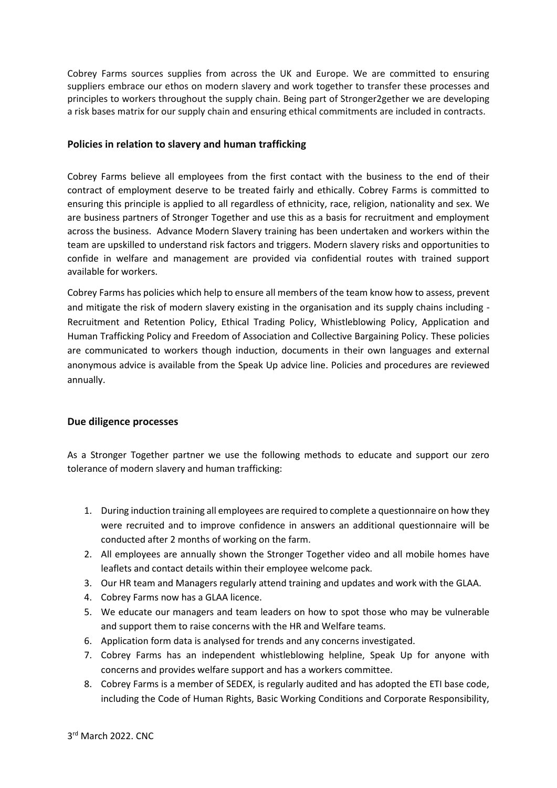Cobrey Farms sources supplies from across the UK and Europe. We are committed to ensuring suppliers embrace our ethos on modern slavery and work together to transfer these processes and principles to workers throughout the supply chain. Being part of Stronger2gether we are developing a risk bases matrix for our supply chain and ensuring ethical commitments are included in contracts.

#### **Policies in relation to slavery and human trafficking**

Cobrey Farms believe all employees from the first contact with the business to the end of their contract of employment deserve to be treated fairly and ethically. Cobrey Farms is committed to ensuring this principle is applied to all regardless of ethnicity, race, religion, nationality and sex. We are business partners of Stronger Together and use this as a basis for recruitment and employment across the business. Advance Modern Slavery training has been undertaken and workers within the team are upskilled to understand risk factors and triggers. Modern slavery risks and opportunities to confide in welfare and management are provided via confidential routes with trained support available for workers.

Cobrey Farms has policies which help to ensure all members of the team know how to assess, prevent and mitigate the risk of modern slavery existing in the organisation and its supply chains including - Recruitment and Retention Policy, Ethical Trading Policy, Whistleblowing Policy, Application and Human Trafficking Policy and Freedom of Association and Collective Bargaining Policy. These policies are communicated to workers though induction, documents in their own languages and external anonymous advice is available from the Speak Up advice line. Policies and procedures are reviewed annually.

## **Due diligence processes**

As a Stronger Together partner we use the following methods to educate and support our zero tolerance of modern slavery and human trafficking:

- 1. During induction training all employees are required to complete a questionnaire on how they were recruited and to improve confidence in answers an additional questionnaire will be conducted after 2 months of working on the farm.
- 2. All employees are annually shown the Stronger Together video and all mobile homes have leaflets and contact details within their employee welcome pack.
- 3. Our HR team and Managers regularly attend training and updates and work with the GLAA.
- 4. Cobrey Farms now has a GLAA licence.
- 5. We educate our managers and team leaders on how to spot those who may be vulnerable and support them to raise concerns with the HR and Welfare teams.
- 6. Application form data is analysed for trends and any concerns investigated.
- 7. Cobrey Farms has an independent whistleblowing helpline, Speak Up for anyone with concerns and provides welfare support and has a workers committee.
- 8. Cobrey Farms is a member of SEDEX, is regularly audited and has adopted the ETI base code, including the Code of Human Rights, Basic Working Conditions and Corporate Responsibility,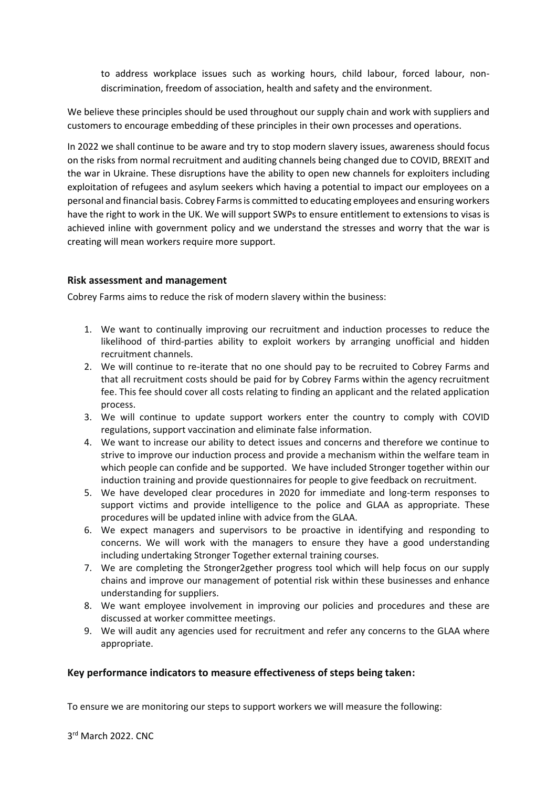to address workplace issues such as working hours, child labour, forced labour, nondiscrimination, freedom of association, health and safety and the environment.

We believe these principles should be used throughout our supply chain and work with suppliers and customers to encourage embedding of these principles in their own processes and operations.

In 2022 we shall continue to be aware and try to stop modern slavery issues, awareness should focus on the risks from normal recruitment and auditing channels being changed due to COVID, BREXIT and the war in Ukraine. These disruptions have the ability to open new channels for exploiters including exploitation of refugees and asylum seekers which having a potential to impact our employees on a personal and financial basis. Cobrey Farms is committed to educating employees and ensuring workers have the right to work in the UK. We will support SWPs to ensure entitlement to extensions to visas is achieved inline with government policy and we understand the stresses and worry that the war is creating will mean workers require more support.

## **Risk assessment and management**

Cobrey Farms aims to reduce the risk of modern slavery within the business:

- 1. We want to continually improving our recruitment and induction processes to reduce the likelihood of third-parties ability to exploit workers by arranging unofficial and hidden recruitment channels.
- 2. We will continue to re-iterate that no one should pay to be recruited to Cobrey Farms and that all recruitment costs should be paid for by Cobrey Farms within the agency recruitment fee. This fee should cover all costs relating to finding an applicant and the related application process.
- 3. We will continue to update support workers enter the country to comply with COVID regulations, support vaccination and eliminate false information.
- 4. We want to increase our ability to detect issues and concerns and therefore we continue to strive to improve our induction process and provide a mechanism within the welfare team in which people can confide and be supported. We have included Stronger together within our induction training and provide questionnaires for people to give feedback on recruitment.
- 5. We have developed clear procedures in 2020 for immediate and long-term responses to support victims and provide intelligence to the police and GLAA as appropriate. These procedures will be updated inline with advice from the GLAA.
- 6. We expect managers and supervisors to be proactive in identifying and responding to concerns. We will work with the managers to ensure they have a good understanding including undertaking Stronger Together external training courses.
- 7. We are completing the Stronger2gether progress tool which will help focus on our supply chains and improve our management of potential risk within these businesses and enhance understanding for suppliers.
- 8. We want employee involvement in improving our policies and procedures and these are discussed at worker committee meetings.
- 9. We will audit any agencies used for recruitment and refer any concerns to the GLAA where appropriate.

## **Key performance indicators to measure effectiveness of steps being taken:**

To ensure we are monitoring our steps to support workers we will measure the following: